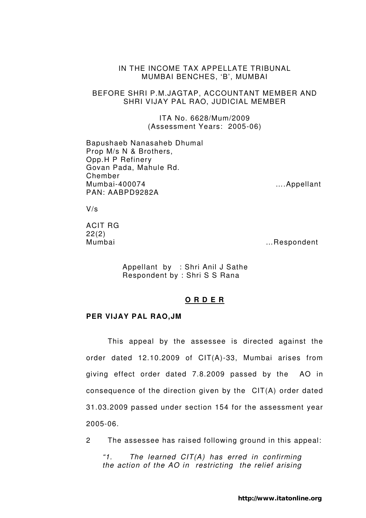## IN THE INCOME TAX APPELLATE TRIBUNAL MUMBAI BENCHES, 'B', MUMBAI

## BEFORE SHRI P.M.JAGTAP, ACCOUNTANT MEMBER AND SHRI VIJAY PAL RAO, JUDICIAL MEMBER

ITA No. 6628/Mum/2009 (Assessment Years: 2005-06)

Bapushaeb Nanasaheb Dhumal Prop M/s N & Brothers, Opp.H P Refinery Govan Pada, Mahule Rd. Chember Mumbai-400074 ….Appellant PAN: AABPD9282A

V/s

ACIT RG 22(2)

Mumbai …Respondent

 Appellant by : Shri Anil J Sathe Respondent by : Shri S S Rana

# **O R D E R**

#### **PER VIJAY PAL RAO,JM**

 This appeal by the assessee is directed against the order dated 12.10.2009 of CIT(A)-33, Mumbai arises from giving effect order dated 7.8.2009 passed by the AO in consequence of the direction given by the CIT(A) order dated 31.03.2009 passed under section 154 for the assessment year 2005-06.

2 The assessee has raised following ground in this appeal:

"1. The learned  $CIT(A)$  has erred in confirming the action of the AO in restricting the relief arising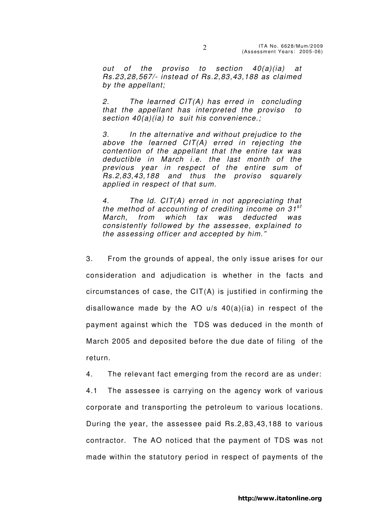out of the proviso to section 40(a)(ia) at Rs.23,28,567/- instead of Rs.2,83,43,188 as claimed by the appellant;

2. The learned  $CIT(A)$  has erred in concluding that the appellant has interpreted the proviso to section  $40(a)(ia)$  to suit his convenience.;

3. In the alternative and without prejudice to the above the learned CIT(A) erred in rejecting the contention of the appellant that the entire tax was deductible in March i.e. the last month of the previous year in respect of the entire sum of Rs.2,83,43,188 and thus the proviso squarely applied in respect of that sum.

4. The ld. CIT(A) erred in not appreciating that the method of accounting of crediting income on  $31^{st}$ March, from which tax was deducted was consistently followed by the assessee, explained to the assessing officer and accepted by him."

3. From the grounds of appeal, the only issue arises for our consideration and adjudication is whether in the facts and circumstances of case, the CIT(A) is justified in confirming the disallowance made by the AO u/s 40(a)(ia) in respect of the payment against which the TDS was deduced in the month of March 2005 and deposited before the due date of filing of the return.

4. The relevant fact emerging from the record are as under:

4.1 The assessee is carrying on the agency work of various corporate and transporting the petroleum to various locations. During the year, the assessee paid Rs.2,83,43,188 to various contractor. The AO noticed that the payment of TDS was not made within the statutory period in respect of payments of the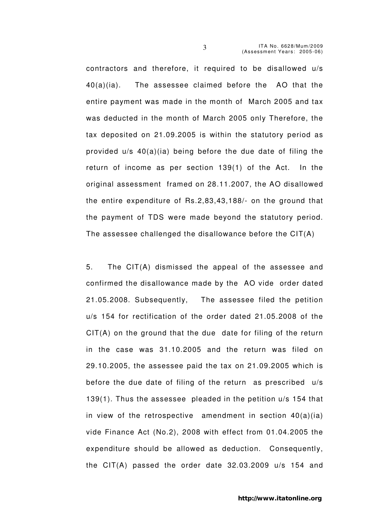contractors and therefore, it required to be disallowed u/s 40(a)(ia). The assessee claimed before the AO that the entire payment was made in the month of March 2005 and tax was deducted in the month of March 2005 only Therefore, the tax deposited on 21.09.2005 is within the statutory period as provided u/s 40(a)(ia) being before the due date of filing the return of income as per section 139(1) of the Act. In the original assessment framed on 28.11.2007, the AO disallowed the entire expenditure of Rs.2,83,43,188/- on the ground that the payment of TDS were made beyond the statutory period. The assessee challenged the disallowance before the CIT(A)

5. The CIT(A) dismissed the appeal of the assessee and confirmed the disallowance made by the AO vide order dated 21.05.2008. Subsequently, The assessee filed the petition u/s 154 for rectification of the order dated 21.05.2008 of the CIT(A) on the ground that the due date for filing of the return in the case was 31.10.2005 and the return was filed on 29.10.2005, the assessee paid the tax on 21.09.2005 which is before the due date of filing of the return as prescribed u/s 139(1). Thus the assessee pleaded in the petition u/s 154 that in view of the retrospective amendment in section 40(a)(ia) vide Finance Act (No.2), 2008 with effect from 01.04.2005 the expenditure should be allowed as deduction. Consequently, the CIT(A) passed the order date 32.03.2009 u/s 154 and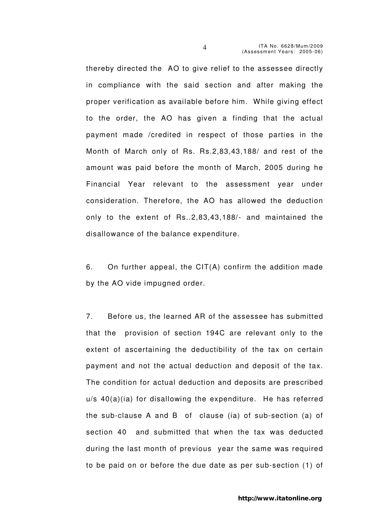thereby directed the AO to give relief to the assessee directly in compliance with the said section and after making the proper verification as available before him. While giving effect to the order, the AO has given a finding that the actual payment made /credited in respect of those parties in the Month of March only of Rs. Rs.2,83,43,188/ and rest of the amount was paid before the month of March, 2005 during he Financial Year relevant to the assessment year under consideration. Therefore, the AO has allowed the deduction only to the extent of Rs..2,83,43,188/- and maintained the disallowance of the balance expenditure.

6. On further appeal, the CIT(A) confirm the addition made by the AO vide impugned order.

7. Before us, the learned AR of the assessee has submitted that the provision of section 194C are relevant only to the extent of ascertaining the deductibility of the tax on certain payment and not the actual deduction and deposit of the tax. The condition for actual deduction and deposits are prescribed u/s 40(a)(ia) for disallowing the expenditure. He has referred the sub-clause A and B of clause (ia) of sub-section (a) of section 40 and submitted that when the tax was deducted during the last month of previous year the same was required to be paid on or before the due date as per sub-section (1) of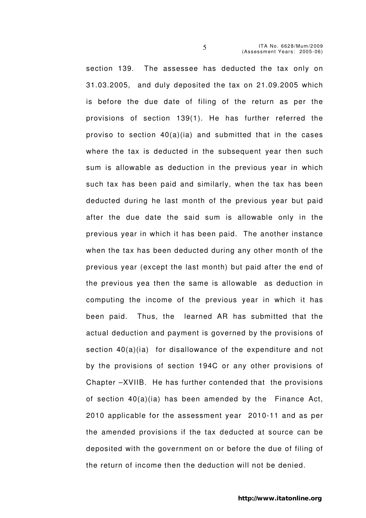section 139. The assessee has deducted the tax only on 31.03.2005, and duly deposited the tax on 21.09.2005 which is before the due date of filing of the return as per the provisions of section 139(1). He has further referred the proviso to section 40(a)(ia) and submitted that in the cases where the tax is deducted in the subsequent year then such sum is allowable as deduction in the previous year in which such tax has been paid and similarly, when the tax has been deducted during he last month of the previous year but paid after the due date the said sum is allowable only in the previous year in which it has been paid. The another instance when the tax has been deducted during any other month of the previous year (except the last month) but paid after the end of the previous yea then the same is allowable as deduction in computing the income of the previous year in which it has been paid. Thus, the learned AR has submitted that the actual deduction and payment is governed by the provisions of section 40(a)(ia) for disallowance of the expenditure and not by the provisions of section 194C or any other provisions of Chapter –XVIIB. He has further contended that the provisions of section 40(a)(ia) has been amended by the Finance Act, 2010 applicable for the assessment year 2010-11 and as per the amended provisions if the tax deducted at source can be deposited with the government on or before the due of filing of the return of income then the deduction will not be denied.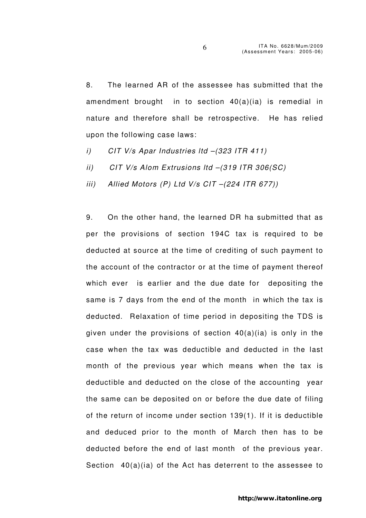8. The learned AR of the assessee has submitted that the amendment brought in to section 40(a)(ia) is remedial in nature and therefore shall be retrospective. He has relied upon the following case laws:

- i) CIT V/s Apar Industries ltd –(323 ITR 411)
- ii) CIT V/s Alom Extrusions ltd –(319 ITR 306(SC)
- iii) Allied Motors  $(P)$  Ltd V/s CIT  $-(224$  ITR 677))

9. On the other hand, the learned DR ha submitted that as per the provisions of section 194C tax is required to be deducted at source at the time of crediting of such payment to the account of the contractor or at the time of payment thereof which ever is earlier and the due date for depositing the same is 7 days from the end of the month in which the tax is deducted. Relaxation of time period in depositing the TDS is given under the provisions of section 40(a)(ia) is only in the case when the tax was deductible and deducted in the last month of the previous year which means when the tax is deductible and deducted on the close of the accounting year the same can be deposited on or before the due date of filing of the return of income under section 139(1). If it is deductible and deduced prior to the month of March then has to be deducted before the end of last month of the previous year. Section 40(a)(ia) of the Act has deterrent to the assessee to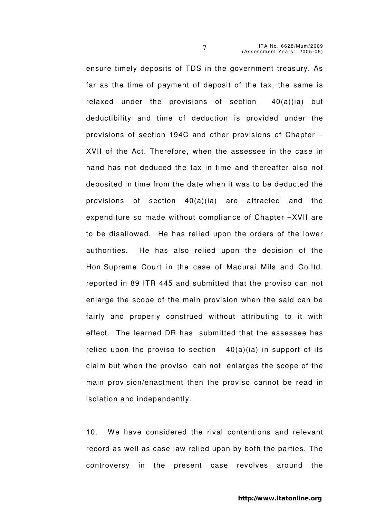ensure timely deposits of TDS in the government treasury. As far as the time of payment of deposit of the tax, the same is relaxed under the provisions of section 40(a)(ia) but deductibility and time of deduction is provided under the provisions of section 194C and other provisions of Chapter – XVII of the Act. Therefore, when the assessee in the case in hand has not deduced the tax in time and thereafter also not deposited in time from the date when it was to be deducted the provisions of section 40(a)(ia) are attracted and the expenditure so made without compliance of Chapter –XVII are to be disallowed. He has relied upon the orders of the lower authorities. He has also relied upon the decision of the Hon.Supreme Court in the case of Madurai Mils and Co.ltd. reported in 89 ITR 445 and submitted that the proviso can not enlarge the scope of the main provision when the said can be fairly and properly construed without attributing to it with effect. The learned DR has submitted that the assessee has relied upon the proviso to section  $40(a)(ia)$  in support of its claim but when the proviso can not enlarges the scope of the main provision/enactment then the proviso cannot be read in isolation and independently.

10. We have considered the rival contentions and relevant record as well as case law relied upon by both the parties. The controversy in the present case revolves around the

http://www.itatonline.org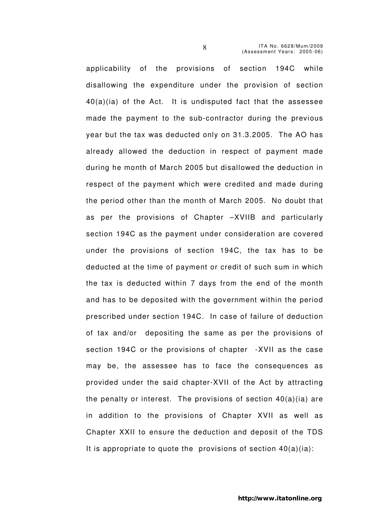applicability of the provisions of section 194C while disallowing the expenditure under the provision of section 40(a)(ia) of the Act. It is undisputed fact that the assessee made the payment to the sub-contractor during the previous year but the tax was deducted only on 31.3.2005. The AO has already allowed the deduction in respect of payment made during he month of March 2005 but disallowed the deduction in respect of the payment which were credited and made during the period other than the month of March 2005. No doubt that as per the provisions of Chapter –XVIIB and particularly section 194C as the payment under consideration are covered under the provisions of section 194C, the tax has to be deducted at the time of payment or credit of such sum in which the tax is deducted within 7 days from the end of the month and has to be deposited with the government within the period prescribed under section 194C. In case of failure of deduction of tax and/or depositing the same as per the provisions of section 194C or the provisions of chapter -XVII as the case may be, the assessee has to face the consequences as provided under the said chapter-XVII of the Act by attracting the penalty or interest. The provisions of section  $40(a)(ia)$  are in addition to the provisions of Chapter XVII as well as Chapter XXII to ensure the deduction and deposit of the TDS It is appropriate to quote the provisions of section  $40(a)(ia)$ :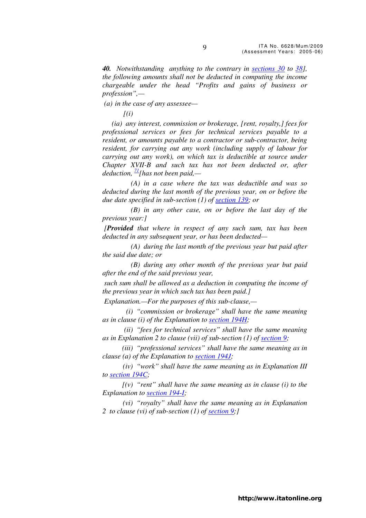*40. Notwithstanding anything to the contrary in sections 30 to 38], the following amounts shall not be deducted in computing the income chargeable under the head "Profits and gains of business or profession",—* 

 *(a) in the case of any assessee—* 

 $f(i)$ 

 *(ia) any interest, commission or brokerage, [rent, royalty,] fees for professional services or fees for technical services payable to a resident, or amounts payable to a contractor or sub-contractor, being resident, for carrying out any work (including supply of labour for carrying out any work), on which tax is deductible at source under Chapter XVII-B and such tax has not been deducted or, after deduction, <sup>71</sup>[has not been paid,—* 

 *(A) in a case where the tax was deductible and was so deducted during the last month of the previous year, on or before the due date specified in sub-section (1) of section 139; or* 

 *(B) in any other case, on or before the last day of the previous year:]* 

 *[Provided that where in respect of any such sum, tax has been deducted in any subsequent year, or has been deducted—* 

 *(A) during the last month of the previous year but paid after the said due date; or* 

 *(B) during any other month of the previous year but paid after the end of the said previous year,* 

 *such sum shall be allowed as a deduction in computing the income of the previous year in which such tax has been paid.]* 

 *Explanation.—For the purposes of this sub-clause,—* 

 *(i) "commission or brokerage" shall have the same meaning as in clause (i) of the Explanation to section 194H;* 

 *(ii) "fees for technical services" shall have the same meaning as in Explanation 2 to clause (vii) of sub-section (1) of section 9;* 

 *(iii) "professional services" shall have the same meaning as in clause (a) of the Explanation to section 194J;* 

 *(iv) "work" shall have the same meaning as in Explanation III to section 194C;* 

 *[(v) "rent" shall have the same meaning as in clause (i) to the Explanation to section 194-I;* 

 *(vi) "royalty" shall have the same meaning as in Explanation 2 to clause (vi) of sub-section (1) of section 9;]*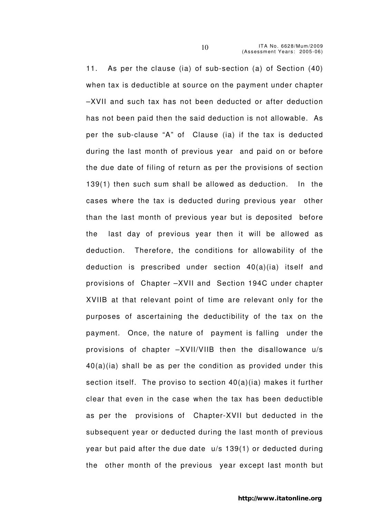11. As per the clause (ia) of sub-section (a) of Section (40) when tax is deductible at source on the payment under chapter –XVII and such tax has not been deducted or after deduction has not been paid then the said deduction is not allowable. As per the sub-clause "A" of Clause (ia) if the tax is deducted during the last month of previous year and paid on or before the due date of filing of return as per the provisions of section 139(1) then such sum shall be allowed as deduction. In the cases where the tax is deducted during previous year other than the last month of previous year but is deposited before the last day of previous year then it will be allowed as deduction. Therefore, the conditions for allowability of the deduction is prescribed under section 40(a)(ia) itself and provisions of Chapter –XVII and Section 194C under chapter XVIIB at that relevant point of time are relevant only for the purposes of ascertaining the deductibility of the tax on the payment. Once, the nature of payment is falling under the provisions of chapter –XVII/VIIB then the disallowance u/s 40(a)(ia) shall be as per the condition as provided under this section itself. The proviso to section 40(a)(ia) makes it further clear that even in the case when the tax has been deductible as per the provisions of Chapter-XVII but deducted in the subsequent year or deducted during the last month of previous year but paid after the due date u/s 139(1) or deducted during the other month of the previous year except last month but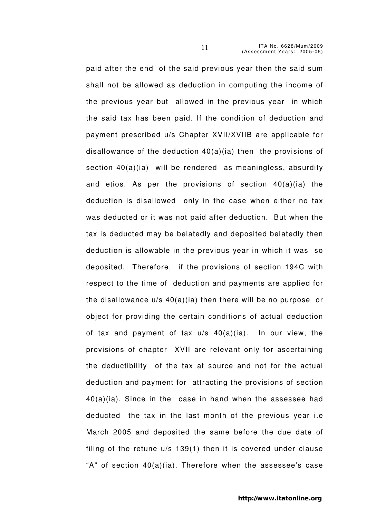paid after the end of the said previous year then the said sum shall not be allowed as deduction in computing the income of the previous year but allowed in the previous year in which the said tax has been paid. If the condition of deduction and payment prescribed u/s Chapter XVII/XVIIB are applicable for disallowance of the deduction 40(a)(ia) then the provisions of section 40(a)(ia) will be rendered as meaningless, absurdity and etios. As per the provisions of section 40(a)(ia) the deduction is disallowed only in the case when either no tax was deducted or it was not paid after deduction. But when the tax is deducted may be belatedly and deposited belatedly then deduction is allowable in the previous year in which it was so deposited. Therefore, if the provisions of section 194C with respect to the time of deduction and payments are applied for the disallowance u/s 40(a)(ia) then there will be no purpose or object for providing the certain conditions of actual deduction of tax and payment of tax u/s 40(a)(ia). In our view, the provisions of chapter XVII are relevant only for ascertaining the deductibility of the tax at source and not for the actual deduction and payment for attracting the provisions of section 40(a)(ia). Since in the case in hand when the assessee had deducted the tax in the last month of the previous year i.e March 2005 and deposited the same before the due date of filing of the retune u/s 139(1) then it is covered under clause "A" of section 40(a)(ia). Therefore when the assessee's case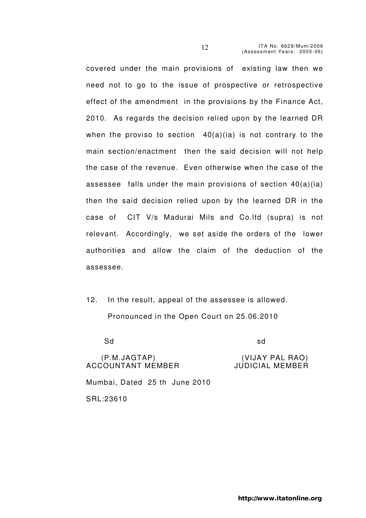covered under the main provisions of existing law then we need not to go to the issue of prospective or retrospective effect of the amendment in the provisions by the Finance Act, 2010. As regards the decision relied upon by the learned DR when the proviso to section  $40(a)(ia)$  is not contrary to the main section/enactment then the said decision will not help the case of the revenue. Even otherwise when the case of the assessee falls under the main provisions of section 40(a)(ia) then the said decision relied upon by the learned DR in the case of CIT V/s Madurai Mils and Co.ltd (supra) is not relevant. Accordingly, we set aside the orders of the lower authorities and allow the claim of the deduction of the assessee.

12. In the result, appeal of the assessee is allowed. Pronounced in the Open Court on 25.06.2010

Sd sd

(P.M.JAGTAP) (VIJAY PAL RAO) ACCOUNTANT MEMBER Mumbai, Dated 25 th June 2010 SRL:23610